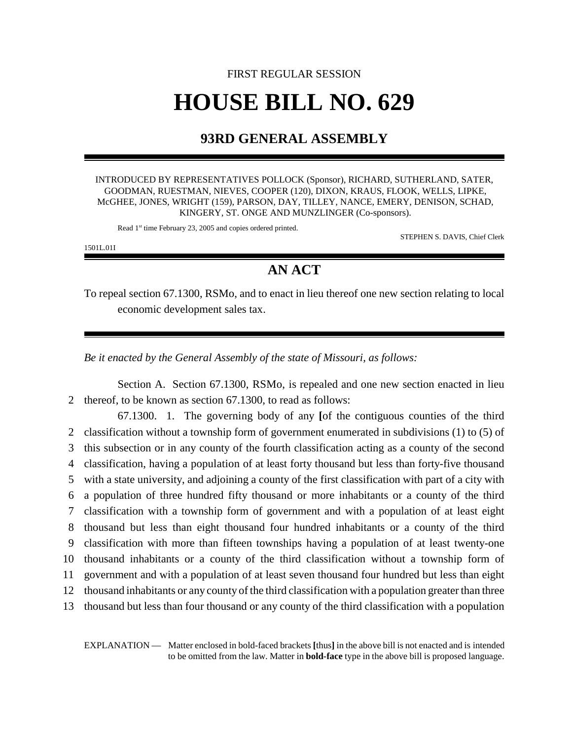## FIRST REGULAR SESSION **HOUSE BILL NO. 629**

## **93RD GENERAL ASSEMBLY**

INTRODUCED BY REPRESENTATIVES POLLOCK (Sponsor), RICHARD, SUTHERLAND, SATER, GOODMAN, RUESTMAN, NIEVES, COOPER (120), DIXON, KRAUS, FLOOK, WELLS, LIPKE, McGHEE, JONES, WRIGHT (159), PARSON, DAY, TILLEY, NANCE, EMERY, DENISON, SCHAD, KINGERY, ST. ONGE AND MUNZLINGER (Co-sponsors).

Read 1<sup>st</sup> time February 23, 2005 and copies ordered printed.

STEPHEN S. DAVIS, Chief Clerk

1501L.01I

## **AN ACT**

To repeal section 67.1300, RSMo, and to enact in lieu thereof one new section relating to local economic development sales tax.

*Be it enacted by the General Assembly of the state of Missouri, as follows:*

Section A. Section 67.1300, RSMo, is repealed and one new section enacted in lieu 2 thereof, to be known as section 67.1300, to read as follows:

67.1300. 1. The governing body of any **[**of the contiguous counties of the third classification without a township form of government enumerated in subdivisions (1) to (5) of this subsection or in any county of the fourth classification acting as a county of the second classification, having a population of at least forty thousand but less than forty-five thousand with a state university, and adjoining a county of the first classification with part of a city with a population of three hundred fifty thousand or more inhabitants or a county of the third classification with a township form of government and with a population of at least eight thousand but less than eight thousand four hundred inhabitants or a county of the third classification with more than fifteen townships having a population of at least twenty-one thousand inhabitants or a county of the third classification without a township form of government and with a population of at least seven thousand four hundred but less than eight thousand inhabitants or any county of the third classification with a population greater than three thousand but less than four thousand or any county of the third classification with a population

EXPLANATION — Matter enclosed in bold-faced brackets **[**thus**]** in the above bill is not enacted and is intended to be omitted from the law. Matter in **bold-face** type in the above bill is proposed language.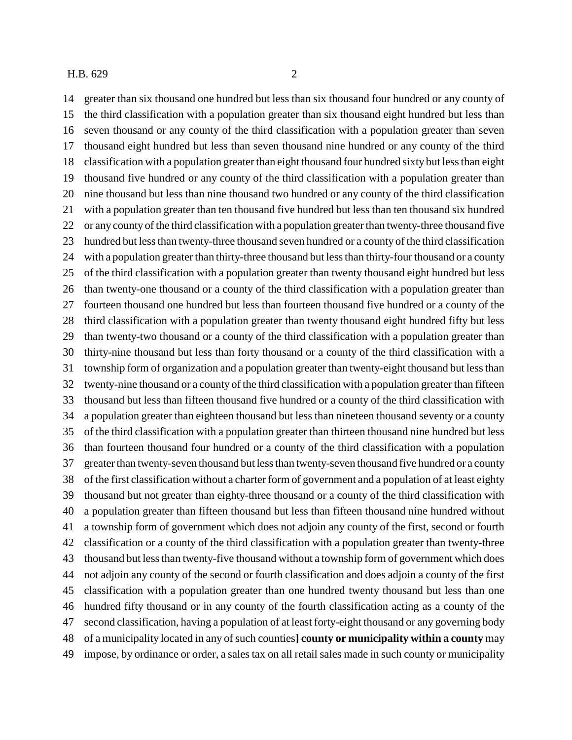greater than six thousand one hundred but less than six thousand four hundred or any county of the third classification with a population greater than six thousand eight hundred but less than seven thousand or any county of the third classification with a population greater than seven thousand eight hundred but less than seven thousand nine hundred or any county of the third classification with a population greater than eight thousand four hundred sixty but less than eight thousand five hundred or any county of the third classification with a population greater than nine thousand but less than nine thousand two hundred or any county of the third classification with a population greater than ten thousand five hundred but less than ten thousand six hundred or any county of the third classification with a population greater than twenty-three thousand five hundred but less than twenty-three thousand seven hundred or a county of the third classification with a population greater than thirty-three thousand but less than thirty-four thousand or a county of the third classification with a population greater than twenty thousand eight hundred but less than twenty-one thousand or a county of the third classification with a population greater than fourteen thousand one hundred but less than fourteen thousand five hundred or a county of the third classification with a population greater than twenty thousand eight hundred fifty but less than twenty-two thousand or a county of the third classification with a population greater than thirty-nine thousand but less than forty thousand or a county of the third classification with a township form of organization and a population greater than twenty-eight thousand but less than twenty-nine thousand or a county of the third classification with a population greater than fifteen thousand but less than fifteen thousand five hundred or a county of the third classification with a population greater than eighteen thousand but less than nineteen thousand seventy or a county of the third classification with a population greater than thirteen thousand nine hundred but less than fourteen thousand four hundred or a county of the third classification with a population greater than twenty-seven thousand but less than twenty-seven thousand five hundred or a county of the first classification without a charter form of government and a population of at least eighty thousand but not greater than eighty-three thousand or a county of the third classification with a population greater than fifteen thousand but less than fifteen thousand nine hundred without a township form of government which does not adjoin any county of the first, second or fourth classification or a county of the third classification with a population greater than twenty-three thousand but less than twenty-five thousand without a township form of government which does not adjoin any county of the second or fourth classification and does adjoin a county of the first classification with a population greater than one hundred twenty thousand but less than one hundred fifty thousand or in any county of the fourth classification acting as a county of the second classification, having a population of at least forty-eight thousand or any governing body of a municipality located in any of such counties**] county or municipality within a county** may impose, by ordinance or order, a sales tax on all retail sales made in such county or municipality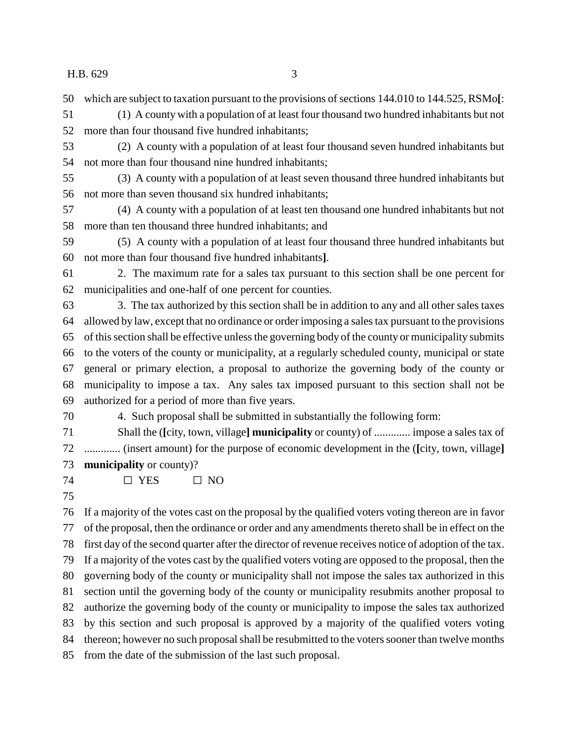H.B. 629 3

which are subject to taxation pursuant to the provisions of sections 144.010 to 144.525, RSMo**[**:

 (1) A county with a population of at least four thousand two hundred inhabitants but not more than four thousand five hundred inhabitants;

- (2) A county with a population of at least four thousand seven hundred inhabitants but not more than four thousand nine hundred inhabitants;
- (3) A county with a population of at least seven thousand three hundred inhabitants but not more than seven thousand six hundred inhabitants;
- (4) A county with a population of at least ten thousand one hundred inhabitants but not more than ten thousand three hundred inhabitants; and
- (5) A county with a population of at least four thousand three hundred inhabitants but not more than four thousand five hundred inhabitants**]**.
- 2. The maximum rate for a sales tax pursuant to this section shall be one percent for municipalities and one-half of one percent for counties.

 3. The tax authorized by this section shall be in addition to any and all other sales taxes allowed by law, except that no ordinance or order imposing a sales tax pursuant to the provisions of this section shall be effective unless the governing body of the county or municipality submits to the voters of the county or municipality, at a regularly scheduled county, municipal or state general or primary election, a proposal to authorize the governing body of the county or municipality to impose a tax. Any sales tax imposed pursuant to this section shall not be authorized for a period of more than five years.

- 4. Such proposal shall be submitted in substantially the following form:
- Shall the (**[**city, town, village**] municipality** or county) of ............. impose a sales tax of ............. (insert amount) for the purpose of economic development in the (**[**city, town, village**] municipality** or county)?
- 74  $\Box$  YES  $\Box$  NO
- 

 If a majority of the votes cast on the proposal by the qualified voters voting thereon are in favor of the proposal, then the ordinance or order and any amendments thereto shall be in effect on the first day of the second quarter after the director of revenue receives notice of adoption of the tax. If a majority of the votes cast by the qualified voters voting are opposed to the proposal, then the governing body of the county or municipality shall not impose the sales tax authorized in this section until the governing body of the county or municipality resubmits another proposal to authorize the governing body of the county or municipality to impose the sales tax authorized by this section and such proposal is approved by a majority of the qualified voters voting thereon; however no such proposal shall be resubmitted to the voters sooner than twelve months from the date of the submission of the last such proposal.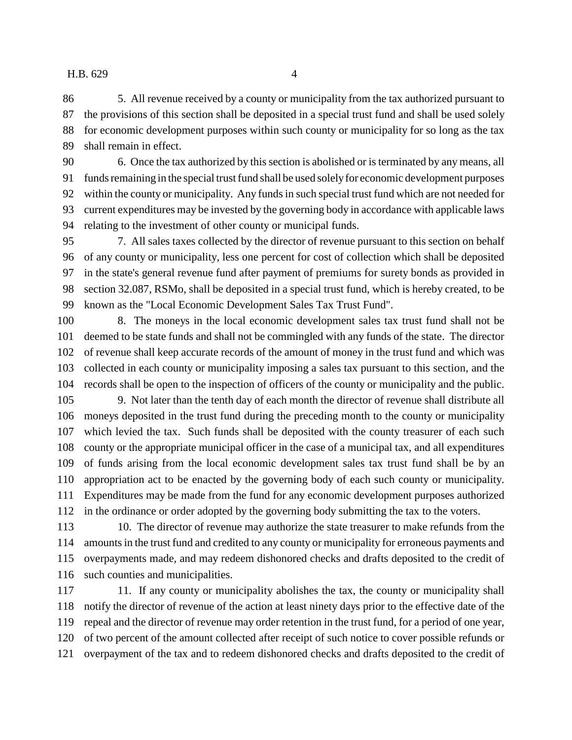## H.B. 629 4

 5. All revenue received by a county or municipality from the tax authorized pursuant to the provisions of this section shall be deposited in a special trust fund and shall be used solely for economic development purposes within such county or municipality for so long as the tax shall remain in effect.

 6. Once the tax authorized by this section is abolished or is terminated by any means, all funds remaining in the special trust fund shall be used solely for economic development purposes within the county or municipality. Any funds in such special trust fund which are not needed for current expenditures may be invested by the governing body in accordance with applicable laws relating to the investment of other county or municipal funds.

 7. All sales taxes collected by the director of revenue pursuant to this section on behalf of any county or municipality, less one percent for cost of collection which shall be deposited in the state's general revenue fund after payment of premiums for surety bonds as provided in section 32.087, RSMo, shall be deposited in a special trust fund, which is hereby created, to be known as the "Local Economic Development Sales Tax Trust Fund".

 8. The moneys in the local economic development sales tax trust fund shall not be deemed to be state funds and shall not be commingled with any funds of the state. The director of revenue shall keep accurate records of the amount of money in the trust fund and which was collected in each county or municipality imposing a sales tax pursuant to this section, and the records shall be open to the inspection of officers of the county or municipality and the public.

 9. Not later than the tenth day of each month the director of revenue shall distribute all moneys deposited in the trust fund during the preceding month to the county or municipality which levied the tax. Such funds shall be deposited with the county treasurer of each such county or the appropriate municipal officer in the case of a municipal tax, and all expenditures of funds arising from the local economic development sales tax trust fund shall be by an appropriation act to be enacted by the governing body of each such county or municipality. Expenditures may be made from the fund for any economic development purposes authorized in the ordinance or order adopted by the governing body submitting the tax to the voters.

113 10. The director of revenue may authorize the state treasurer to make refunds from the amounts in the trust fund and credited to any county or municipality for erroneous payments and overpayments made, and may redeem dishonored checks and drafts deposited to the credit of such counties and municipalities.

117 11. If any county or municipality abolishes the tax, the county or municipality shall notify the director of revenue of the action at least ninety days prior to the effective date of the repeal and the director of revenue may order retention in the trust fund, for a period of one year, of two percent of the amount collected after receipt of such notice to cover possible refunds or overpayment of the tax and to redeem dishonored checks and drafts deposited to the credit of